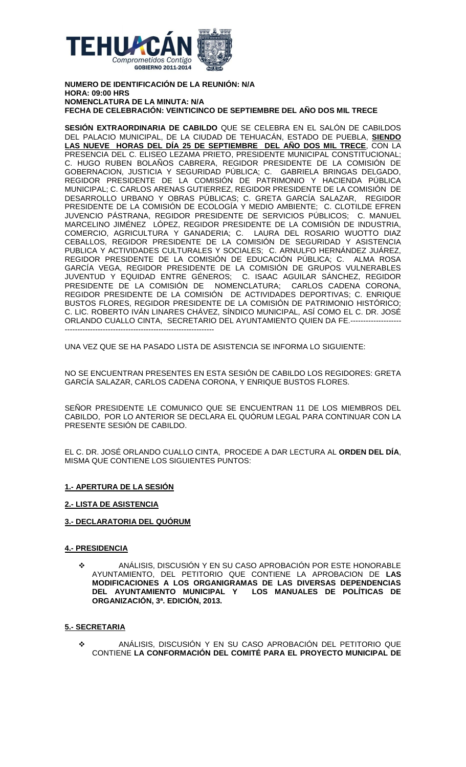

**NUMERO DE IDENTIFICACIÓN DE LA REUNIÓN: N/A HORA: 09:00 HRS NOMENCLATURA DE LA MINUTA: N/A FECHA DE CELEBRACIÓN: VEINTICINCO DE SEPTIEMBRE DEL AÑO DOS MIL TRECE**

**SESIÓN EXTRAORDINARIA DE CABILDO** QUE SE CELEBRA EN EL SALÓN DE CABILDOS DEL PALACIO MUNICIPAL, DE LA CIUDAD DE TEHUACÁN, ESTADO DE PUEBLA, **SIENDO LAS NUEVE HORAS DEL DÍA 25 DE SEPTIEMBRE DEL AÑO DOS MIL TRECE**, CON LA PRESENCIA DEL C. ELISEO LEZAMA PRIETO, PRESIDENTE MUNICIPAL CONSTITUCIONAL; C. HUGO RUBEN BOLAÑOS CABRERA, REGIDOR PRESIDENTE DE LA COMISIÓN DE GOBERNACION, JUSTICIA Y SEGURIDAD PÚBLICA; C. GABRIELA BRINGAS DELGADO, REGIDOR PRESIDENTE DE LA COMISIÓN DE PATRIMONIO Y HACIENDA PÚBLICA MUNICIPAL; C. CARLOS ARENAS GUTIERREZ, REGIDOR PRESIDENTE DE LA COMISIÓN DE DESARROLLO URBANO Y OBRAS PÚBLICAS; C. GRETA GARCÍA SALAZAR, REGIDOR PRESIDENTE DE LA COMISIÓN DE ECOLOGÍA Y MEDIO AMBIENTE; C. CLOTILDE EFREN JUVENCIO PÁSTRANA, REGIDOR PRESIDENTE DE SERVICIOS PÚBLICOS; C. MANUEL MARCELINO JIMÉNEZ LÓPEZ, REGIDOR PRESIDENTE DE LA COMISIÓN DE INDUSTRIA, COMERCIO, AGRICULTURA Y GANADERIA; C. LAURA DEL ROSARIO WUOTTO DIAZ CEBALLOS, REGIDOR PRESIDENTE DE LA COMISIÓN DE SEGURIDAD Y ASISTENCIA PUBLICA Y ACTIVIDADES CULTURALES Y SOCIALES; C. ARNULFO HERNÁNDEZ JUÁREZ, REGIDOR PRESIDENTE DE LA COMISIÓN DE EDUCACIÓN PÚBLICA; C. ALMA ROSA GARCIA VEGA, REGIDOR PRESIDENTE DE LA COMISION DE GRUPOS VULNERABLES JUVENTUD Y EQUIDAD ENTRE GÉNEROS; C. ISAAC AGUILAR SÁNCHEZ, REGIDOR PRESIDENTE DE LA COMISIÓN DE NOMENCLATURA; CARLOS CADENA CORONA, REGIDOR PRESIDENTE DE LA COMISIÓN DE ACTIVIDADES DEPORTIVAS; C. ENRIQUE BUSTOS FLORES, REGIDOR PRESIDENTE DE LA COMISIÓN DE PATRIMONIO HISTÓRICO; C. LIC. ROBERTO IVÁN LINARES CHÁVEZ, SÍNDICO MUNICIPAL, ASÍ COMO EL C. DR. JOSÉ ORLANDO CUALLO CINTA, SECRETARIO DEL AYUNTAMIENTO QUIEN DA FE.-------------------- -----------------------------------------------------------

UNA VEZ QUE SE HA PASADO LISTA DE ASISTENCIA SE INFORMA LO SIGUIENTE:

NO SE ENCUENTRAN PRESENTES EN ESTA SESIÓN DE CABILDO LOS REGIDORES: GRETA GARCÍA SALAZAR, CARLOS CADENA CORONA, Y ENRIQUE BUSTOS FLORES.

SEÑOR PRESIDENTE LE COMUNICO QUE SE ENCUENTRAN 11 DE LOS MIEMBROS DEL CABILDO, POR LO ANTERIOR SE DECLARA EL QUÓRUM LEGAL PARA CONTINUAR CON LA PRESENTE SESIÓN DE CABILDO.

EL C. DR. JOSÉ ORLANDO CUALLO CINTA, PROCEDE A DAR LECTURA AL **ORDEN DEL DÍA**, MISMA QUE CONTIENE LOS SIGUIENTES PUNTOS:

# **1.- APERTURA DE LA SESIÓN**

# **2.- LISTA DE ASISTENCIA**

# **3.- DECLARATORIA DEL QUÓRUM**

### **4.- PRESIDENCIA**

 ANÁLISIS, DISCUSIÓN Y EN SU CASO APROBACIÓN POR ESTE HONORABLE AYUNTAMIENTO, DEL PETITORIO QUE CONTIENE LA APROBACION DE **LAS MODIFICACIONES A LOS ORGANIGRAMAS DE LAS DIVERSAS DEPENDENCIAS**  LOS MANUALES DE POLÍTICAS DE **ORGANIZACIÓN, 3ª. EDICIÓN, 2013.**

### **5.- SECRETARIA**

 ANÁLISIS, DISCUSIÓN Y EN SU CASO APROBACIÓN DEL PETITORIO QUE CONTIENE **LA CONFORMACIÓN DEL COMITÉ PARA EL PROYECTO MUNICIPAL DE**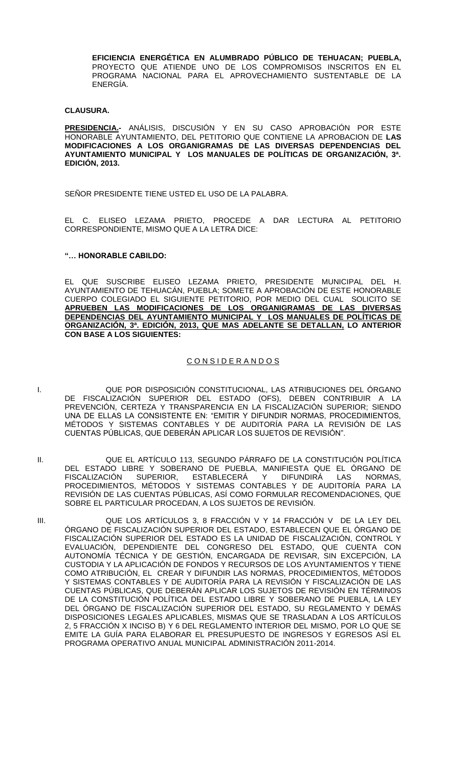**EFICIENCIA ENERGÉTICA EN ALUMBRADO PÚBLICO DE TEHUACAN; PUEBLA,** PROYECTO QUE ATIENDE UNO DE LOS COMPROMISOS INSCRITOS EN EL PROGRAMA NACIONAL PARA EL APROVECHAMIENTO SUSTENTABLE DE LA ENERGÍA.

### **CLAUSURA.**

**PRESIDENCIA.-** ANÁLISIS, DISCUSIÓN Y EN SU CASO APROBACIÓN POR ESTE HONORABLE AYUNTAMIENTO, DEL PETITORIO QUE CONTIENE LA APROBACION DE **LAS MODIFICACIONES A LOS ORGANIGRAMAS DE LAS DIVERSAS DEPENDENCIAS DEL AYUNTAMIENTO MUNICIPAL Y LOS MANUALES DE POLÍTICAS DE ORGANIZACIÓN, 3ª. EDICIÓN, 2013.**

SEÑOR PRESIDENTE TIENE USTED EL USO DE LA PALABRA.

EL C. ELISEO LEZAMA PRIETO, PROCEDE A DAR LECTURA AL PETITORIO CORRESPONDIENTE, MISMO QUE A LA LETRA DICE:

### **"… HONORABLE CABILDO:**

EL QUE SUSCRIBE ELISEO LEZAMA PRIETO, PRESIDENTE MUNICIPAL DEL H. AYUNTAMIENTO DE TEHUACAN, PUEBLA; SOMETE A APROBACION DE ESTE HONORABLE CUERPO COLEGIADO EL SIGUIENTE PETITORIO, POR MEDIO DEL CUAL SOLICITO SE **APRUEBEN LAS MODIFICACIONES DE LOS ORGANIGRAMAS DE LAS DIVERSAS DEPENDENCIAS DEL AYUNTAMIENTO MUNICIPAL Y LOS MANUALES DE POLÍTICAS DE ORGANIZACIÓN, 3ª. EDICIÓN, 2013, QUE MAS ADELANTE SE DETALLAN, LO ANTERIOR CON BASE A LOS SIGUIENTES:**

# C O N S I D E R A N D O S

- I. QUE POR DISPOSICIÓN CONSTITUCIONAL, LAS ATRIBUCIONES DEL ÓRGANO DE FISCALIZACIÓN SUPERIOR DEL ESTADO (OFS), DEBEN CONTRIBUIR A LA PREVENCIÓN, CERTEZA Y TRANSPARENCIA EN LA FISCALIZACIÓN SUPERIOR; SIENDO UNA DE ELLAS LA CONSISTENTE EN: "EMITIR Y DIFUNDIR NORMAS, PROCEDIMIENTOS, MÉTODOS Y SISTEMAS CONTABLES Y DE AUDITORIA PARA LA REVISION DE LAS CUENTAS PÚBLICAS, QUE DEBERÁN APLICAR LOS SUJETOS DE REVISIÓN".
- II. QUE EL ARTÍCULO 113, SEGUNDO PÁRRAFO DE LA CONSTITUCIÓN POLÍTICA DEL ESTADO LIBRE Y SOBERANO DE PUEBLA, MANIFIESTA QUE EL ÓRGANO DE FISCALIZACIÓN SUPERIOR, ESTABLECERA Y DIFUNDIRÁ LAS NORMAS, PROCEDIMIENTOS, MÉTODOS Y SISTEMAS CONTABLES Y DE AUDITORÍA PARA LA REVISIÓN DE LAS CUENTAS PÚBLICAS, ASÍ COMO FORMULAR RECOMENDACIONES, QUE SOBRE EL PARTICULAR PROCEDAN, A LOS SUJETOS DE REVISIÓN.
- III. QUE LOS ARTÍCULOS 3, 8 FRACCIÓN V Y 14 FRACCIÓN V DE LA LEY DEL ÓRGANO DE FISCALIZACIÓN SUPERIOR DEL ESTADO, ESTABLECEN QUE EL ÓRGANO DE FISCALIZACIÓN SUPERIOR DEL ESTADO ES LA UNIDAD DE FISCALIZACIÓN, CONTROL Y EVALUACIÓN, DEPENDIENTE DEL CONGRESO DEL ESTADO, QUE CUENTA CON AUTONOMÍA TÉCNICA Y DE GESTIÓN, ENCARGADA DE REVISAR, SIN EXCEPCIÓN, LA CUSTODIA Y LA APLICACIÓN DE FONDOS Y RECURSOS DE LOS AYUNTAMIENTOS Y TIENE COMO ATRIBUCIÓN, EL CREAR Y DIFUNDIR LAS NORMAS, PROCEDIMIENTOS, MÉTODOS Y SISTEMAS CONTABLES Y DE AUDITORÍA PARA LA REVISIÓN Y FISCALIZACIÓN DE LAS CUENTAS PÚBLICAS, QUE DEBERÁN APLICAR LOS SUJETOS DE REVISIÓN EN TÉRMINOS DE LA CONSTITUCIÓN POLÍTICA DEL ESTADO LIBRE Y SOBERANO DE PUEBLA, LA LEY DEL ÓRGANO DE FISCALIZACIÓN SUPERIOR DEL ESTADO, SU REGLAMENTO Y DEMÁS DISPOSICIONES LEGALES APLICABLES, MISMAS QUE SE TRASLADAN A LOS ARTÍCULOS 2, 5 FRACCIÓN X INCISO B) Y 6 DEL REGLAMENTO INTERIOR DEL MISMO, POR LO QUE SE EMITE LA GUÍA PARA ELABORAR EL PRESUPUESTO DE INGRESOS Y EGRESOS ASÍ EL PROGRAMA OPERATIVO ANUAL MUNICIPAL ADMINISTRACIÓN 2011-2014.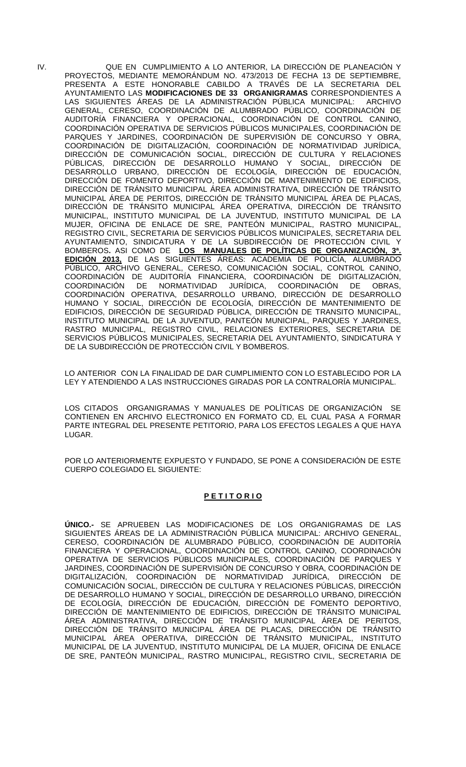IV. QUE EN CUMPLIMIENTO A LO ANTERIOR, LA DIRECCIÓN DE PLANEACIÓN Y PROYECTOS, MEDIANTE MEMORÁNDUM NO. 473/2013 DE FECHA 13 DE SEPTIEMBRE, PRESENTA A ESTE HONORABLE CABILDO A TRAVÉS DE LA SECRETARIA DEL AYUNTAMIENTO LAS **MODIFICACIONES DE 33 ORGANIGRAMAS** CORRESPONDIENTES A LAS SIGUIENTES ÁREAS DE LA ADMINISTRACIÓN PÚBLICA MUNICIPAL: ARCHIVO GENERAL, CERESO, COORDINACIÓN DE ALUMBRADO PÚBLICO, COORDINACIÓN DE AUDITORÍA FINANCIERA Y OPERACIONAL, COORDINACIÓN DE CONTROL CANINO, COORDINACIÓN OPERATIVA DE SERVICIOS PÚBLICOS MUNICIPALES, COORDINACIÓN DE PARQUES Y JARDINES, COORDINACIÓN DE SUPERVISIÓN DE CONCURSO Y OBRA, COORDINACIÓN DE DIGITALIZACIÓN, COORDINACIÓN DE NORMATIVIDAD JURÍDICA, DIRECCIÓN DE COMUNICACIÓN SOCIAL, DIRECCIÓN DE CULTURA Y RELACIONES PÚBLICAS, DIRECCIÓN DE DESARROLLO HUMANO Y SOCIAL, DIRECCIÓN DE DESARROLLO URBANO, DIRECCIÓN DE ECOLOGÍA, DIRECCIÓN DE EDUCACIÓN, DIRECCIÓN DE FOMENTO DEPORTIVO, DIRECCIÓN DE MANTENIMIENTO DE EDIFICIOS, DIRECCIÓN DE TRÁNSITO MUNICIPAL ÁREA ADMINISTRATIVA, DIRECCIÓN DE TRÁNSITO MUNICIPAL ÁREA DE PERITOS, DIRECCIÓN DE TRÁNSITO MUNICIPAL ÁREA DE PLACAS, DIRECCIÓN DE TRÁNSITO MUNICIPAL ÁREA OPERATIVA, DIRECCIÓN DE TRÁNSITO MUNICIPAL, INSTITUTO MUNICIPAL DE LA JUVENTUD, INSTITUTO MUNICIPAL DE LA MUJER, OFICINA DE ENLACE DE SRE, PANTEÓN MUNICIPAL, RASTRO MUNICIPAL, REGISTRO CIVIL, SECRETARIA DE SERVICIOS PÚBLICOS MUNICIPALES, SECRETARIA DEL AYUNTAMIENTO, SINDICATURA Y DE LA SUBDIRECCIÓN DE PROTECCIÓN CIVIL Y BOMBEROS**.** ASI COMO DE **LOS MANUALES DE POLÍTICAS DE ORGANIZACIÓN, 3ª. EDICIÓN 2013,** DE LAS SIGUIENTES ÁREAS: ACADEMIA DE POLICÍA, ALUMBRADO PÚBLICO, ARCHIVO GENERAL, CERESO, COMUNICACIÓN SOCIAL, CONTROL CANINO, COORDINACIÓN DE AUDITORÍA FINANCIERA, COORDINACIÓN DE DIGITALIZACIÓN, COORDINACIÓN DE NORMATIVIDAD JURÍDICA, COORDINACIÓN DE OBRAS, COORDINACIÓN OPERATIVA, DESARROLLO URBANO, DIRECCIÓN DE DESARROLLO HUMANO Y SOCIAL, DIRECCIÓN DE ECOLOGÍA, DIRECCIÓN DE MANTENIMIENTO DE EDIFICIOS, DIRECCIÓN DE SEGURIDAD PÚBLICA, DIRECCIÓN DE TRANSITO MUNICIPAL, INSTITUTO MUNICIPAL DE LA JUVENTUD, PANTEÓN MUNICIPAL, PARQUES Y JARDINES, RASTRO MUNICIPAL, REGISTRO CIVIL, RELACIONES EXTERIORES, SECRETARIA DE SERVICIOS PÚBLICOS MUNICIPALES, SECRETARIA DEL AYUNTAMIENTO, SINDICATURA Y DE LA SUBDIRECCIÓN DE PROTECCIÓN CIVIL Y BOMBEROS.

LO ANTERIORCON LA FINALIDAD DE DAR CUMPLIMIENTO CON LO ESTABLECIDO POR LA LEY Y ATENDIENDO A LAS INSTRUCCIONES GIRADAS POR LA CONTRALORÍA MUNICIPAL.

LOS CITADOS ORGANIGRAMAS Y MANUALES DE POLÍTICAS DE ORGANIZACIÓN SE CONTIENEN EN ARCHIVO ELECTRONICO EN FORMATO CD, EL CUAL PASA A FORMAR PARTE INTEGRAL DEL PRESENTE PETITORIO, PARA LOS EFECTOS LEGALES A QUE HAYA LUGAR.

POR LO ANTERIORMENTE EXPUESTO Y FUNDADO, SE PONE A CONSIDERACIÓN DE ESTE CUERPO COLEGIADO EL SIGUIENTE:

# **P E T I T O R I O**

**ÚNICO.-** SE APRUEBEN LAS MODIFICACIONES DE LOS ORGANIGRAMAS DE LAS SIGUIENTES ÁREAS DE LA ADMINISTRACIÓN PÚBLICA MUNICIPAL: ARCHIVO GENERAL, CERESO, COORDINACIÓN DE ALUMBRADO PÚBLICO, COORDINACIÓN DE AUDITORÍA FINANCIERA Y OPERACIONAL, COORDINACIÓN DE CONTROL CANINO, COORDINACIÓN OPERATIVA DE SERVICIOS PÚBLICOS MUNICIPALES, COORDINACIÓN DE PARQUES Y JARDINES, COORDINACIÓN DE SUPERVISIÓN DE CONCURSO Y OBRA, COORDINACIÓN DE DIGITALIZACIÓN, COORDINACIÓN DE NORMATIVIDAD JURÍDICA, DIRECCIÓN DE COMUNICACIÓN SOCIAL, DIRECCIÓN DE CULTURA Y RELACIONES PÚBLICAS, DIRECCIÓN DE DESARROLLO HUMANO Y SOCIAL, DIRECCIÓN DE DESARROLLO URBANO, DIRECCIÓN DE ECOLOGÍA, DIRECCIÓN DE EDUCACIÓN, DIRECCIÓN DE FOMENTO DEPORTIVO, DIRECCIÓN DE MANTENIMIENTO DE EDIFICIOS, DIRECCIÓN DE TRÁNSITO MUNICIPAL ÁREA ADMINISTRATIVA, DIRECCIÓN DE TRÁNSITO MUNICIPAL ÁREA DE PERITOS, DIRECCIÓN DE TRÁNSITO MUNICIPAL ÁREA DE PLACAS, DIRECCIÓN DE TRÁNSITO MUNICIPAL ÁREA OPERATIVA, DIRECCIÓN DE TRÁNSITO MUNICIPAL, INSTITUTO MUNICIPAL DE LA JUVENTUD, INSTITUTO MUNICIPAL DE LA MUJER, OFICINA DE ENLACE DE SRE, PANTEÓN MUNICIPAL, RASTRO MUNICIPAL, REGISTRO CIVIL, SECRETARIA DE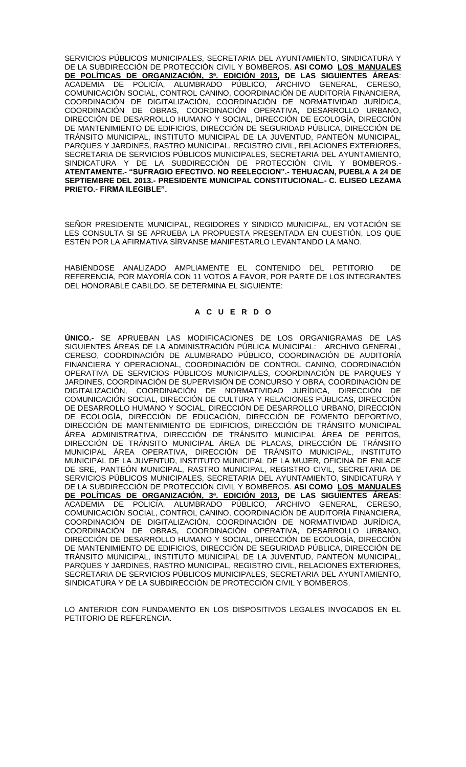SERVICIOS PÚBLICOS MUNICIPALES, SECRETARIA DEL AYUNTAMIENTO, SINDICATURA Y DE LA SUBDIRECCIÓN DE PROTECCIÓN CIVIL Y BOMBEROS. **ASI COMO LOS MANUALES DE POLÍTICAS DE ORGANIZACIÓN, 3ª. EDICIÓN 2013, DE LAS SIGUIENTES ÁREAS**: ACADEMIA DE POLICÍA, ALUMBRADO PÚBLICO, ARCHIVO GENERAL, CERESO, COMUNICACIÓN SOCIAL, CONTROL CANINO, COORDINACIÓN DE AUDITORÍA FINANCIERA, COORDINACIÓN DE DIGITALIZACIÓN, COORDINACIÓN DE NORMATIVIDAD JURÍDICA, COORDINACIÓN DE OBRAS, COORDINACIÓN OPERATIVA, DESARROLLO URBANO, DIRECCIÓN DE DESARROLLO HUMANO Y SOCIAL, DIRECCIÓN DE ECOLOGÍA, DIRECCIÓN DE MANTENIMIENTO DE EDIFICIOS, DIRECCIÓN DE SEGURIDAD PÚBLICA, DIRECCIÓN DE TRÁNSITO MUNICIPAL, INSTITUTO MUNICIPAL DE LA JUVENTUD, PANTEÓN MUNICIPAL, PARQUES Y JARDINES, RASTRO MUNICIPAL, REGISTRO CIVIL, RELACIONES EXTERIORES, SECRETARIA DE SERVICIOS PÚBLICOS MUNICIPALES, SECRETARIA DEL AYUNTAMIENTO, SINDICATURA Y DE LA SUBDIRECCIÓN DE PROTECCIÓN CIVIL Y BOMBEROS.- **ATENTAMENTE.- "SUFRAGIO EFECTIVO. NO REELECCION".- TEHUACAN, PUEBLA A 24 DE SEPTIEMBRE DEL 2013.- PRESIDENTE MUNICIPAL CONSTITUCIONAL.- C. ELISEO LEZAMA PRIETO.- FIRMA ILEGIBLE".**

SEÑOR PRESIDENTE MUNICIPAL, REGIDORES Y SINDICO MUNICIPAL, EN VOTACIÓN SE LES CONSULTA SI SE APRUEBA LA PROPUESTA PRESENTADA EN CUESTIÓN, LOS QUE ESTÉN POR LA AFIRMATIVA SÍRVANSE MANIFESTARLO LEVANTANDO LA MANO.

HABIÉNDOSE ANALIZADO AMPLIAMENTE EL CONTENIDO DEL PETITORIO DE REFERENCIA, POR MAYORÍA CON 11 VOTOS A FAVOR, POR PARTE DE LOS INTEGRANTES DEL HONORABLE CABILDO, SE DETERMINA EL SIGUIENTE:

## **A C U E R D O**

**ÚNICO.-** SE APRUEBAN LAS MODIFICACIONES DE LOS ORGANIGRAMAS DE LAS SIGUIENTES ÁREAS DE LA ADMINISTRACIÓN PÚBLICA MUNICIPAL: ARCHIVO GENERAL, CERESO, COORDINACIÓN DE ALUMBRADO PÚBLICO, COORDINACIÓN DE AUDITORÍA FINANCIERA Y OPERACIONAL, COORDINACIÓN DE CONTROL CANINO, COORDINACIÓN OPERATIVA DE SERVICIOS PÚBLICOS MUNICIPALES, COORDINACIÓN DE PARQUES Y JARDINES, COORDINACIÓN DE SUPERVISIÓN DE CONCURSO Y OBRA, COORDINACIÓN DE DIGITALIZACIÓN, COORDINACIÓN DE NORMATIVIDAD JURÍDICA, DIRECCIÓN DE COMUNICACIÓN SOCIAL, DIRECCIÓN DE CULTURA Y RELACIONES PÚBLICAS, DIRECCIÓN DE DESARROLLO HUMANO Y SOCIAL, DIRECCIÓN DE DESARROLLO URBANO, DIRECCIÓN DE ECOLOGÍA, DIRECCIÓN DE EDUCACIÓN, DIRECCIÓN DE FOMENTO DEPORTIVO, DIRECCIÓN DE MANTENIMIENTO DE EDIFICIOS, DIRECCIÓN DE TRÁNSITO MUNICIPAL ÁREA ADMINISTRATIVA, DIRECCIÓN DE TRÁNSITO MUNICIPAL ÁREA DE PERITOS, DIRECCIÓN DE TRÁNSITO MUNICIPAL ÁREA DE PLACAS, DIRECCIÓN DE TRÁNSITO MUNICIPAL ÁREA OPERATIVA, DIRECCIÓN DE TRÁNSITO MUNICIPAL, INSTITUTO MUNICIPAL DE LA JUVENTUD, INSTITUTO MUNICIPAL DE LA MUJER, OFICINA DE ENLACE DE SRE, PANTEÓN MUNICIPAL, RASTRO MUNICIPAL, REGISTRO CIVIL, SECRETARIA DE SERVICIOS PÚBLICOS MUNICIPALES, SECRETARIA DEL AYUNTAMIENTO, SINDICATURA Y DE LA SUBDIRECCIÓN DE PROTECCIÓN CIVIL Y BOMBEROS. **ASI COMO LOS MANUALES DE POLÍTICAS DE ORGANIZACIÓN, 3ª. EDICIÓN 2013, DE LAS SIGUIENTES ÁREAS**: ACADEMIA DE POLICÍA, ALUMBRADO PÚBLICO, ARCHIVO GENERAL, CERESO, COMUNICACIÓN SOCIAL, CONTROL CANINO, COORDINACIÓN DE AUDITORÍA FINANCIERA, COORDINACIÓN DE DIGITALIZACIÓN, COORDINACIÓN DE NORMATIVIDAD JURÍDICA, COORDINACIÓN DE OBRAS, COORDINACIÓN OPERATIVA, DESARROLLO URBANO, DIRECCIÓN DE DESARROLLO HUMANO Y SOCIAL, DIRECCIÓN DE ECOLOGÍA, DIRECCIÓN DE MANTENIMIENTO DE EDIFICIOS, DIRECCIÓN DE SEGURIDAD PÚBLICA, DIRECCIÓN DE TRÁNSITO MUNICIPAL, INSTITUTO MUNICIPAL DE LA JUVENTUD, PANTEÓN MUNICIPAL, PARQUES Y JARDINES, RASTRO MUNICIPAL, REGISTRO CIVIL, RELACIONES EXTERIORES, SECRETARIA DE SERVICIOS PÚBLICOS MUNICIPALES, SECRETARIA DEL AYUNTAMIENTO, SINDICATURA Y DE LA SUBDIRECCIÓN DE PROTECCIÓN CIVIL Y BOMBEROS.

LO ANTERIOR CON FUNDAMENTO EN LOS DISPOSITIVOS LEGALES INVOCADOS EN EL PETITORIO DE REFERENCIA.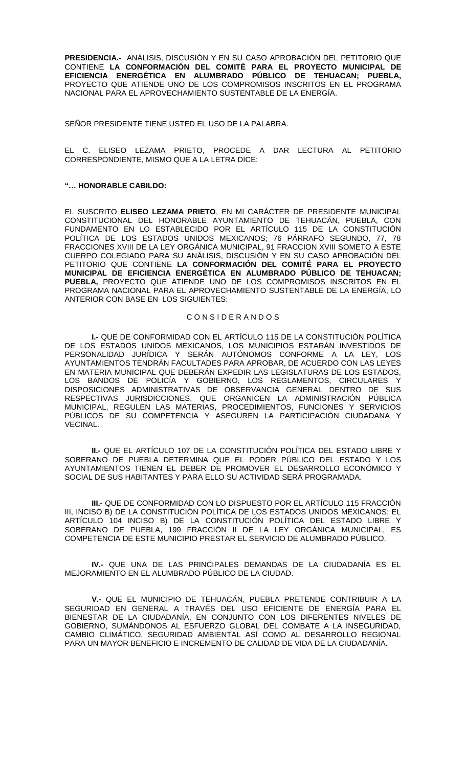**PRESIDENCIA.-** ANÁLISIS, DISCUSIÓN Y EN SU CASO APROBACIÓN DEL PETITORIO QUE CONTIENE **LA CONFORMACIÓN DEL COMITÉ PARA EL PROYECTO MUNICIPAL DE EFICIENCIA ENERGÉTICA EN ALUMBRADO PÚBLICO DE TEHUACAN; PUEBLA,** PROYECTO QUE ATIENDE UNO DE LOS COMPROMISOS INSCRITOS EN EL PROGRAMA NACIONAL PARA EL APROVECHAMIENTO SUSTENTABLE DE LA ENERGÍA.

SEÑOR PRESIDENTE TIENE USTED EL USO DE LA PALABRA.

EL C. ELISEO LEZAMA PRIETO, PROCEDE A DAR LECTURA AL PETITORIO CORRESPONDIENTE, MISMO QUE A LA LETRA DICE:

### **"… HONORABLE CABILDO:**

EL SUSCRITO **ELISEO LEZAMA PRIETO**, EN MI CARÁCTER DE PRESIDENTE MUNICIPAL CONSTITUCIONAL DEL HONORABLE AYUNTAMIENTO DE TEHUACÁN, PUEBLA, CON FUNDAMENTO EN LO ESTABLECIDO POR EL ARTÍCULO 115 DE LA CONSTITUCIÓN POLÍTICA DE LOS ESTADOS UNIDOS MEXICANOS; 76 PÁRRAFO SEGUNDO, 77, 78 FRACCIONES XVIII DE LA LEY ORGÁNICA MUNICIPAL, 91 FRACCION XVIII SOMETO A ESTE CUERPO COLEGIADO PARA SU ANÁLISIS, DISCUSIÓN Y EN SU CASO APROBACIÓN DEL PETITORIO QUE CONTIENE **LA CONFORMACIÓN DEL COMITÉ PARA EL PROYECTO MUNICIPAL DE EFICIENCIA ENERGÉTICA EN ALUMBRADO PÚBLICO DE TEHUACAN; PUEBLA,** PROYECTO QUE ATIENDE UNO DE LOS COMPROMISOS INSCRITOS EN EL PROGRAMA NACIONAL PARA EL APROVECHAMIENTO SUSTENTABLE DE LA ENERGÍA, LO ANTERIOR CON BASE EN LOS SIGUIENTES:

### C O N S I D E R A N D O S

**I.-** QUE DE CONFORMIDAD CON EL ARTÍCULO 115 DE LA CONSTITUCIÓN POLÍTICA DE LOS ESTADOS UNIDOS MEXICANOS, LOS MUNICIPIOS ESTARÁN INVESTIDOS DE PERSONALIDAD JURÍDICA Y SERÁN AUTÓNOMOS CONFORME A LA LEY, LOS AYUNTAMIENTOS TENDRÁN FACULTADES PARA APROBAR, DE ACUERDO CON LAS LEYES EN MATERIA MUNICIPAL QUE DEBERÁN EXPEDIR LAS LEGISLATURAS DE LOS ESTADOS, LOS BANDOS DE POLICÍA Y GOBIERNO, LOS REGLAMENTOS, CIRCULARES Y DISPOSICIONES ADMINISTRATIVAS DE OBSERVANCIA GENERAL DENTRO DE SUS RESPECTIVAS JURISDICCIONES, QUE ORGANICEN LA ADMINISTRACIÓN PÚBLICA MUNICIPAL, REGULEN LAS MATERIAS, PROCEDIMIENTOS, FUNCIONES Y SERVICIOS PÚBLICOS DE SU COMPETENCIA Y ASEGUREN LA PARTICIPACIÓN CIUDADANA Y **VECINAL** 

**II.-** QUE EL ARTÍCULO 107 DE LA CONSTITUCIÓN POLÍTICA DEL ESTADO LIBRE Y SOBERANO DE PUEBLA DETERMINA QUE EL PODER PÚBLICO DEL ESTADO Y LOS AYUNTAMIENTOS TIENEN EL DEBER DE PROMOVER EL DESARROLLO ECONÓMICO Y SOCIAL DE SUS HABITANTES Y PARA ELLO SU ACTIVIDAD SERÁ PROGRAMADA.

**III.-** QUE DE CONFORMIDAD CON LO DISPUESTO POR EL ARTÍCULO 115 FRACCIÓN III, INCISO B) DE LA CONSTITUCIÓN POLÍTICA DE LOS ESTADOS UNIDOS MEXICANOS; EL ARTÍCULO 104 INCISO B) DE LA CONSTITUCIÓN POLÍTICA DEL ESTADO LIBRE Y SOBERANO DE PUEBLA, 199 FRACCIÓN II DE LA LEY ORGÁNICA MUNICIPAL, ES COMPETENCIA DE ESTE MUNICIPIO PRESTAR EL SERVICIO DE ALUMBRADO PÚBLICO.

**IV.-** QUE UNA DE LAS PRINCIPALES DEMANDAS DE LA CIUDADANÍA ES EL MEJORAMIENTO EN EL ALUMBRADO PÚBLICO DE LA CIUDAD.

**V.-** QUE EL MUNICIPIO DE TEHUACÁN, PUEBLA PRETENDE CONTRIBUIR A LA SEGURIDAD EN GENERAL A TRAVÉS DEL USO EFICIENTE DE ENERGÍA PARA EL BIENESTAR DE LA CIUDADANÍA, EN CONJUNTO CON LOS DIFERENTES NIVELES DE GOBIERNO, SUMÁNDONOS AL ESFUERZO GLOBAL DEL COMBATE A LA INSEGURIDAD, CAMBIO CLIMÁTICO, SEGURIDAD AMBIENTAL ASÍ COMO AL DESARROLLO REGIONAL PARA UN MAYOR BENEFICIO E INCREMENTO DE CALIDAD DE VIDA DE LA CIUDADANÍA.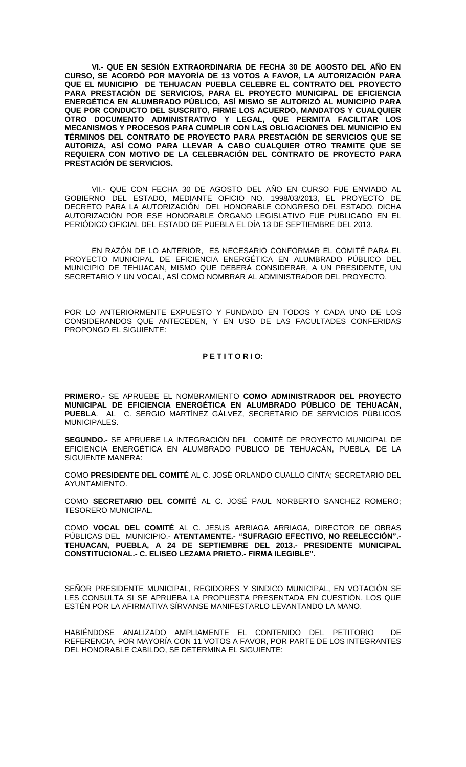**VI.- QUE EN SESIÓN EXTRAORDINARIA DE FECHA 30 DE AGOSTO DEL AÑO EN CURSO, SE ACORDÓ POR MAYORÍA DE 13 VOTOS A FAVOR, LA AUTORIZACIÓN PARA QUE EL MUNICIPIO DE TEHUACAN PUEBLA CELEBRE EL CONTRATO DEL PROYECTO PARA PRESTACIÓN DE SERVICIOS, PARA EL PROYECTO MUNICIPAL DE EFICIENCIA ENERGÉTICA EN ALUMBRADO PÚBLICO, ASÍ MISMO SE AUTORIZÓ AL MUNICIPIO PARA QUE POR CONDUCTO DEL SUSCRITO, FIRME LOS ACUERDO, MANDATOS Y CUALQUIER OTRO DOCUMENTO ADMINISTRATIVO Y LEGAL, QUE PERMITA FACILITAR LOS MECANISMOS Y PROCESOS PARA CUMPLIR CON LAS OBLIGACIONES DEL MUNICIPIO EN TÉRMINOS DEL CONTRATO DE PROYECTO PARA PRESTACIÓN DE SERVICIOS QUE SE AUTORIZA, ASÍ COMO PARA LLEVAR A CABO CUALQUIER OTRO TRAMITE QUE SE REQUIERA CON MOTIVO DE LA CELEBRACIÓN DEL CONTRATO DE PROYECTO PARA PRESTACIÓN DE SERVICIOS.**

VII.- QUE CON FECHA 30 DE AGOSTO DEL AÑO EN CURSO FUE ENVIADO AL GOBIERNO DEL ESTADO, MEDIANTE OFICIO NO. 1998/03/2013, EL PROYECTO DE DECRETO PARA LA AUTORIZACIÓN DEL HONORABLE CONGRESO DEL ESTADO, DICHA AUTORIZACIÓN POR ESE HONORABLE ÓRGANO LEGISLATIVO FUE PUBLICADO EN EL PERIÓDICO OFICIAL DEL ESTADO DE PUEBLA EL DÍA 13 DE SEPTIEMBRE DEL 2013.

EN RAZÓN DE LO ANTERIOR, ES NECESARIO CONFORMAR EL COMITÉ PARA EL PROYECTO MUNICIPAL DE EFICIENCIA ENERGÉTICA EN ALUMBRADO PÚBLICO DEL MUNICIPIO DE TEHUACAN, MISMO QUE DEBERÁ CONSIDERAR, A UN PRESIDENTE, UN SECRETARIO Y UN VOCAL, ASÍ COMO NOMBRAR AL ADMINISTRADOR DEL PROYECTO.

POR LO ANTERIORMENTE EXPUESTO Y FUNDADO EN TODOS Y CADA UNO DE LOS CONSIDERANDOS QUE ANTECEDEN, Y EN USO DE LAS FACULTADES CONFERIDAS PROPONGO EL SIGUIENTE:

## **P E T I T O R I O:**

**PRIMERO.-** SE APRUEBE EL NOMBRAMIENTO **COMO ADMINISTRADOR DEL PROYECTO MUNICIPAL DE EFICIENCIA ENERGÉTICA EN ALUMBRADO PÚBLICO DE TEHUACÁN, PUEBLA**. AL C. SERGIO MARTÍNEZ GÁLVEZ, SECRETARIO DE SERVICIOS PÚBLICOS MUNICIPALES.

**SEGUNDO.-** SE APRUEBE LA INTEGRACIÓN DEL COMITÉ DE PROYECTO MUNICIPAL DE EFICIENCIA ENERGÉTICA EN ALUMBRADO PÚBLICO DE TEHUACÁN, PUEBLA, DE LA SIGUIENTE MANERA:

COMO **PRESIDENTE DEL COMITÉ** AL C. JOSÉ ORLANDO CUALLO CINTA; SECRETARIO DEL AYUNTAMIENTO.

COMO **SECRETARIO DEL COMITÉ** AL C. JOSÉ PAUL NORBERTO SANCHEZ ROMERO; TESORERO MUNICIPAL.

COMO **VOCAL DEL COMITÉ** AL C. JESUS ARRIAGA ARRIAGA, DIRECTOR DE OBRAS PÚBLICAS DEL MUNICIPIO.- **ATENTAMENTE.- "SUFRAGIO EFECTIVO, NO REELECCIÓN".- TEHUACAN, PUEBLA, A 24 DE SEPTIEMBRE DEL 2013.- PRESIDENTE MUNICIPAL CONSTITUCIONAL.- C. ELISEO LEZAMA PRIETO.- FIRMA ILEGIBLE".**

SEÑOR PRESIDENTE MUNICIPAL, REGIDORES Y SINDICO MUNICIPAL, EN VOTACIÓN SE LES CONSULTA SI SE APRUEBA LA PROPUESTA PRESENTADA EN CUESTIÓN, LOS QUE ESTÉN POR LA AFIRMATIVA SÍRVANSE MANIFESTARLO LEVANTANDO LA MANO.

HABIÉNDOSE ANALIZADO AMPLIAMENTE EL CONTENIDO DEL PETITORIO DE REFERENCIA, POR MAYORÍA CON 11 VOTOS A FAVOR, POR PARTE DE LOS INTEGRANTES DEL HONORABLE CABILDO, SE DETERMINA EL SIGUIENTE: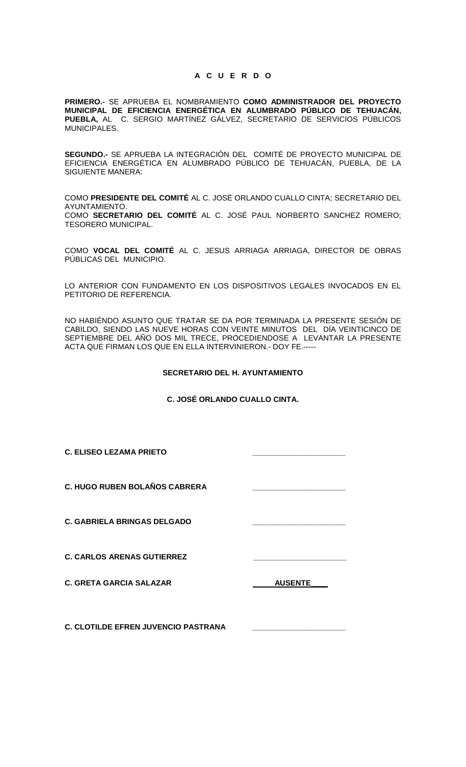## **A C U E R D O**

**PRIMERO.-** SE APRUEBA EL NOMBRAMIENTO **COMO ADMINISTRADOR DEL PROYECTO MUNICIPAL DE EFICIENCIA ENERGÉTICA EN ALUMBRADO PÚBLICO DE TEHUACÁN, PUEBLA,** AL C. SERGIO MARTÍNEZ GÁLVEZ, SECRETARIO DE SERVICIOS PÚBLICOS MUNICIPALES.

**SEGUNDO.-** SE APRUEBA LA INTEGRACIÓN DEL COMITÉ DE PROYECTO MUNICIPAL DE EFICIENCIA ENERGÉTICA EN ALUMBRADO PÚBLICO DE TEHUACÁN, PUEBLA, DE LA SIGUIENTE MANERA:

COMO **PRESIDENTE DEL COMITÉ** AL C. JOSÉ ORLANDO CUALLO CINTA; SECRETARIO DEL AYUNTAMIENTO. COMO **SECRETARIO DEL COMITÉ** AL C. JOSÉ PAUL NORBERTO SANCHEZ ROMERO; TESORERO MUNICIPAL.

COMO **VOCAL DEL COMITÉ** AL C. JESUS ARRIAGA ARRIAGA, DIRECTOR DE OBRAS PÚBLICAS DEL MUNICIPIO.

LO ANTERIOR CON FUNDAMENTO EN LOS DISPOSITIVOS LEGALES INVOCADOS EN EL PETITORIO DE REFERENCIA.

NO HABIÉNDO ASUNTO QUE TRATAR SE DA POR TERMINADA LA PRESENTE SESIÓN DE CABILDO, SIENDO LAS NUEVE HORAS CON VEINTE MINUTOS DEL DÍA VEINTICINCO DE SEPTIEMBRE DEL AÑO DOS MIL TRECE, PROCEDIENDOSE A LEVANTAR LA PRESENTE ACTA QUE FIRMAN LOS QUE EN ELLA INTERVINIERON.- DOY FE.-----

### **SECRETARIO DEL H. AYUNTAMIENTO**

# **C. JOSÉ ORLANDO CUALLO CINTA.**

| <b>C. ELISEO LEZAMA PRIETO</b>             |                |
|--------------------------------------------|----------------|
| <b>C. HUGO RUBEN BOLAÑOS CABRERA</b>       |                |
| <b>C. GABRIELA BRINGAS DELGADO</b>         |                |
| <b>C. CARLOS ARENAS GUTIERREZ</b>          |                |
| <b>C. GRETA GARCIA SALAZAR</b>             | <b>AUSENTE</b> |
| <b>C. CLOTILDE EFREN JUVENCIO PASTRANA</b> |                |